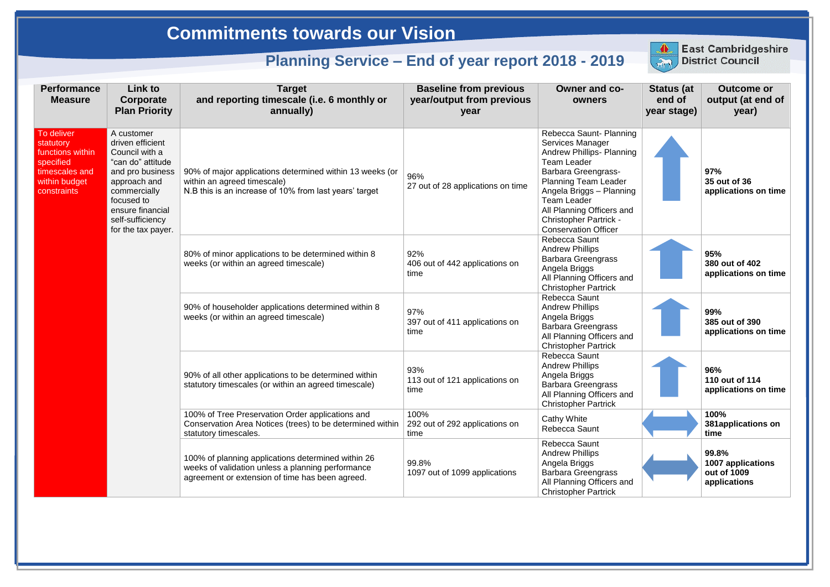| <b>Performance</b><br><b>Measure</b>                                                                       | Link to<br>Corporate<br><b>Plan Priority</b>                                                                                                                                                          | <b>Target</b><br>and reporting timescale (i.e. 6 monthly or<br>annually)                                                                                   | <b>Baseline from previous</b><br>year/output from previous<br>year | <b>Owner and co-</b><br>owners                                                                                                                                                                                                                                                                                    | <b>Status (at</b><br>end of<br>year stage) | <b>Outcome or</b><br>output (at end of<br>year)           |
|------------------------------------------------------------------------------------------------------------|-------------------------------------------------------------------------------------------------------------------------------------------------------------------------------------------------------|------------------------------------------------------------------------------------------------------------------------------------------------------------|--------------------------------------------------------------------|-------------------------------------------------------------------------------------------------------------------------------------------------------------------------------------------------------------------------------------------------------------------------------------------------------------------|--------------------------------------------|-----------------------------------------------------------|
| To deliver<br>statutory<br>functions within<br>specified<br>timescales and<br>within budget<br>constraints | A customer<br>driven efficient<br>Council with a<br>"can do" attitude<br>and pro business<br>approach and<br>commercially<br>focused to<br>ensure financial<br>self-sufficiency<br>for the tax payer. | 90% of major applications determined within 13 weeks (or<br>within an agreed timescale)<br>N.B this is an increase of 10% from last years' target          | 96%<br>27 out of 28 applications on time                           | Rebecca Saunt- Planning<br>Services Manager<br><b>Andrew Phillips- Planning</b><br><b>Team Leader</b><br><b>Barbara Greengrass-</b><br><b>Planning Team Leader</b><br>Angela Briggs - Planning<br><b>Team Leader</b><br>All Planning Officers and<br><b>Christopher Partrick -</b><br><b>Conservation Officer</b> |                                            | 97%<br>35 out of 36<br>applications on time               |
|                                                                                                            |                                                                                                                                                                                                       | 80% of minor applications to be determined within 8<br>weeks (or within an agreed timescale)                                                               | 92%<br>406 out of 442 applications on<br>time                      | <b>Rebecca Saunt</b><br><b>Andrew Phillips</b><br><b>Barbara Greengrass</b><br>Angela Briggs<br>All Planning Officers and<br><b>Christopher Partrick</b>                                                                                                                                                          |                                            | 95%<br>380 out of 402<br>applications on time             |
|                                                                                                            |                                                                                                                                                                                                       | 90% of householder applications determined within 8<br>weeks (or within an agreed timescale)                                                               | 97%<br>397 out of 411 applications on<br>time                      | Rebecca Saunt<br><b>Andrew Phillips</b><br>Angela Briggs<br><b>Barbara Greengrass</b><br>All Planning Officers and<br><b>Christopher Partrick</b>                                                                                                                                                                 |                                            | 99%<br>385 out of 390<br>applications on time             |
|                                                                                                            |                                                                                                                                                                                                       | 90% of all other applications to be determined within<br>statutory timescales (or within an agreed timescale)                                              | 93%<br>113 out of 121 applications on<br>time                      | <b>Rebecca Saunt</b><br><b>Andrew Phillips</b><br>Angela Briggs<br><b>Barbara Greengrass</b><br>All Planning Officers and<br><b>Christopher Partrick</b>                                                                                                                                                          |                                            | 96%<br>110 out of 114<br>applications on time             |
|                                                                                                            |                                                                                                                                                                                                       | 100% of Tree Preservation Order applications and<br>Conservation Area Notices (trees) to be determined within<br>statutory timescales.                     | 100%<br>292 out of 292 applications on<br>time                     | <b>Cathy White</b><br>Rebecca Saunt                                                                                                                                                                                                                                                                               |                                            | 100%<br>381applications on<br>time                        |
|                                                                                                            |                                                                                                                                                                                                       | 100% of planning applications determined within 26<br>weeks of validation unless a planning performance<br>agreement or extension of time has been agreed. | 99.8%<br>1097 out of 1099 applications                             | Rebecca Saunt<br><b>Andrew Phillips</b><br>Angela Briggs<br><b>Barbara Greengrass</b><br>All Planning Officers and<br><b>Christopher Partrick</b>                                                                                                                                                                 |                                            | 99.8%<br>1007 applications<br>out of 1009<br>applications |



## **East Cambridgeshire**<br>District Council

## **Commitments towards our Vision**

## **Planning Service – End of year report 2018 - 2019**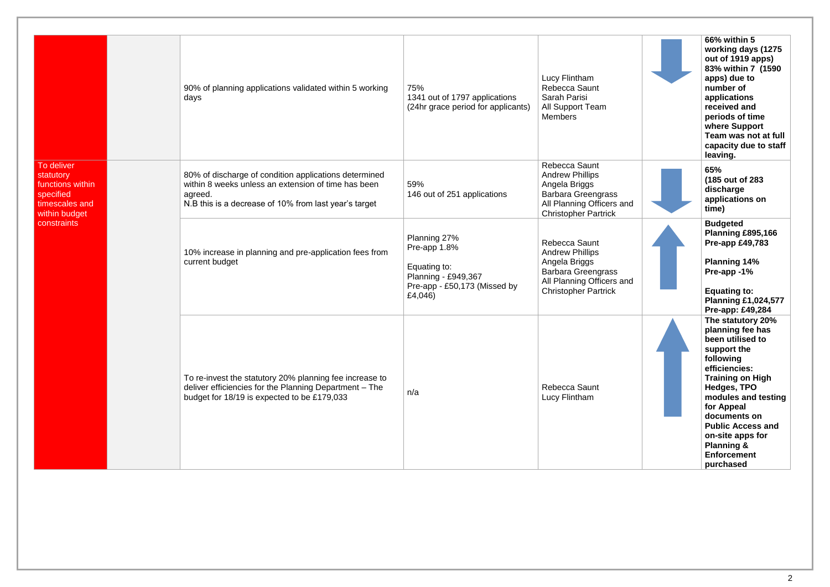|                                                                                                            |  | 90% of planning applications validated within 5 working<br>days                                                                                                                  | 75%<br>1341 out of 1797 applications<br>(24hr grace period for applicants)                                     | Lucy Flintham<br>Rebecca Saunt<br>Sarah Parisi<br>All Support Team<br><b>Members</b>                                                              | 66% within 5<br>working days (1275<br>out of 1919 apps)<br>83% within 7 (1590<br>apps) due to<br>number of<br>applications<br>received and<br>periods of time<br>where Support<br>Team was not at full<br>capacity due to staff<br>leaving.                                                                       |
|------------------------------------------------------------------------------------------------------------|--|----------------------------------------------------------------------------------------------------------------------------------------------------------------------------------|----------------------------------------------------------------------------------------------------------------|---------------------------------------------------------------------------------------------------------------------------------------------------|-------------------------------------------------------------------------------------------------------------------------------------------------------------------------------------------------------------------------------------------------------------------------------------------------------------------|
| To deliver<br>statutory<br>functions within<br>specified<br>timescales and<br>within budget<br>constraints |  | 80% of discharge of condition applications determined<br>within 8 weeks unless an extension of time has been<br>agreed.<br>N.B this is a decrease of 10% from last year's target | 59%<br>146 out of 251 applications                                                                             | Rebecca Saunt<br><b>Andrew Phillips</b><br>Angela Briggs<br><b>Barbara Greengrass</b><br>All Planning Officers and<br><b>Christopher Partrick</b> | 65%<br>(185 out of 283)<br>discharge<br>applications on<br>time)                                                                                                                                                                                                                                                  |
|                                                                                                            |  | 10% increase in planning and pre-application fees from<br>current budget                                                                                                         | Planning 27%<br>Pre-app 1.8%<br>Equating to:<br>Planning - £949,367<br>Pre-app - £50,173 (Missed by<br>£4,046) | Rebecca Saunt<br><b>Andrew Phillips</b><br>Angela Briggs<br><b>Barbara Greengrass</b><br>All Planning Officers and<br><b>Christopher Partrick</b> | <b>Budgeted</b><br>Planning £895,166<br><b>Pre-app £49,783</b><br><b>Planning 14%</b><br>Pre-app -1%<br><b>Equating to:</b><br><b>Planning £1,024,577</b><br>Pre-app: £49,284                                                                                                                                     |
|                                                                                                            |  | To re-invest the statutory 20% planning fee increase to<br>deliver efficiencies for the Planning Department - The<br>budget for 18/19 is expected to be £179,033                 | n/a                                                                                                            | Rebecca Saunt<br>Lucy Flintham                                                                                                                    | The statutory 20%<br>planning fee has<br>been utilised to<br>support the<br>following<br>efficiencies:<br><b>Training on High</b><br>Hedges, TPO<br>modules and testing<br>for Appeal<br>documents on<br><b>Public Access and</b><br>on-site apps for<br><b>Planning &amp;</b><br><b>Enforcement</b><br>purchased |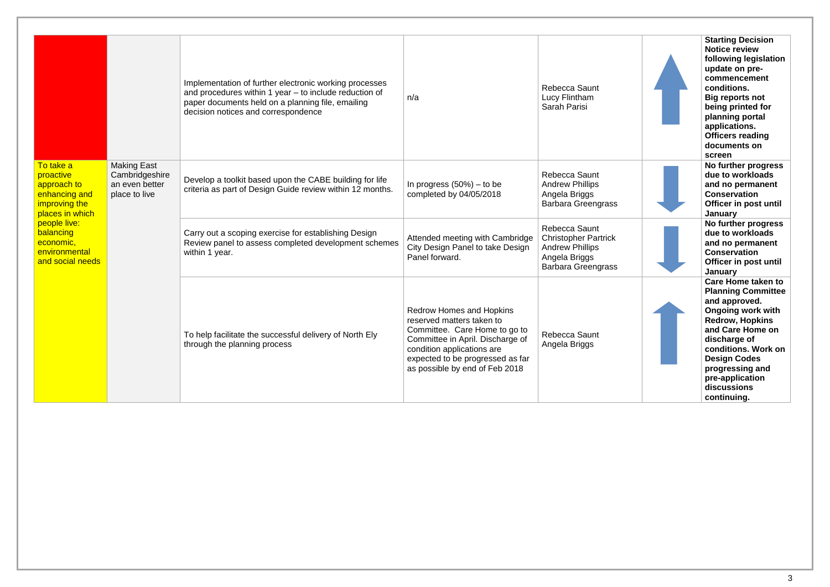|                                                                                                                                                                           |                                                                         | Implementation of further electronic working processes<br>and procedures within 1 year $-$ to include reduction of<br>paper documents held on a planning file, emailing<br>decision notices and correspondence | n/a                                                                                                                                                                                                                                   | Rebecca Saunt<br>Lucy Flintham<br>Sarah Parisi                                        | <b>Starting Decision</b><br><b>Notice review</b><br>following legislation<br>update on pre-<br>commencement<br>conditions.<br><b>Big reports not</b><br>being printed for<br>planning portal<br>applications.<br><b>Officers reading</b><br>documents on<br>screen                  |
|---------------------------------------------------------------------------------------------------------------------------------------------------------------------------|-------------------------------------------------------------------------|----------------------------------------------------------------------------------------------------------------------------------------------------------------------------------------------------------------|---------------------------------------------------------------------------------------------------------------------------------------------------------------------------------------------------------------------------------------|---------------------------------------------------------------------------------------|-------------------------------------------------------------------------------------------------------------------------------------------------------------------------------------------------------------------------------------------------------------------------------------|
| To take a<br>proactive<br>approach to<br>enhancing and<br>improving the<br>places in which<br>people live:<br>balancing<br>economic,<br>environmental<br>and social needs | <b>Making East</b><br>Cambridgeshire<br>an even better<br>place to live | Develop a toolkit based upon the CABE building for life<br>criteria as part of Design Guide review within 12 months.                                                                                           | In progress $(50%)$ – to be<br>completed by 04/05/2018                                                                                                                                                                                | Rebecca Saunt<br><b>Andrew Phillips</b><br>Angela Briggs<br><b>Barbara Greengrass</b> | No further progress<br>due to workloads<br>and no permanent<br><b>Conservation</b><br>Officer in post until<br>January                                                                                                                                                              |
|                                                                                                                                                                           |                                                                         |                                                                                                                                                                                                                | Carry out a scoping exercise for establishing Design<br>Review panel to assess completed development schemes<br>within 1 year.                                                                                                        | Attended meeting with Cambridge<br>City Design Panel to take Design<br>Panel forward. | Rebecca Saunt<br><b>Christopher Partrick</b><br><b>Andrew Phillips</b><br>Angela Briggs<br><b>Barbara Greengrass</b>                                                                                                                                                                |
|                                                                                                                                                                           |                                                                         | To help facilitate the successful delivery of North Ely<br>through the planning process                                                                                                                        | <b>Redrow Homes and Hopkins</b><br>reserved matters taken to<br>Committee. Care Home to go to<br>Committee in April. Discharge of<br>condition applications are<br>expected to be progressed as far<br>as possible by end of Feb 2018 | <b>Rebecca Saunt</b><br>Angela Briggs                                                 | <b>Care Home taken to</b><br><b>Planning Committee</b><br>and approved.<br><b>Ongoing work with</b><br><b>Redrow, Hopkins</b><br>and Care Home on<br>discharge of<br>conditions. Work on<br><b>Design Codes</b><br>progressing and<br>pre-application<br>discussions<br>continuing. |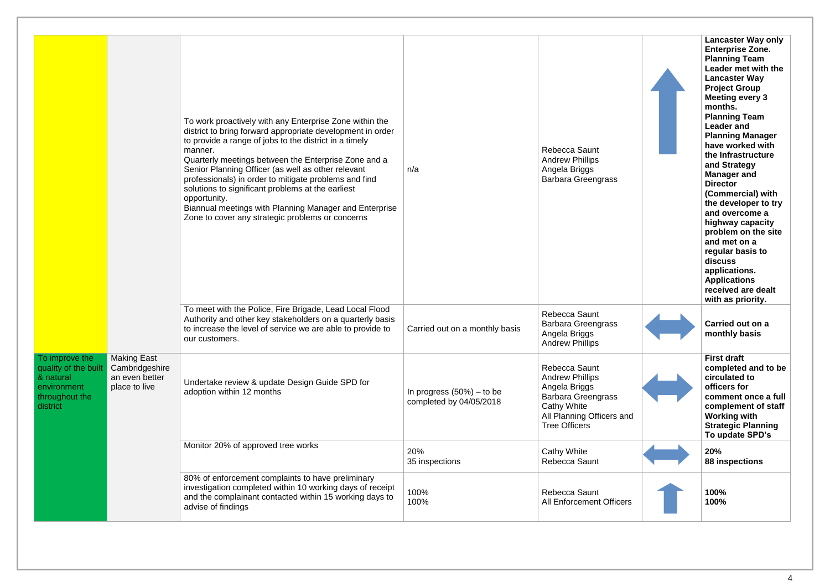|                                                                                                  |                                                                         | To work proactively with any Enterprise Zone within the<br>district to bring forward appropriate development in order<br>to provide a range of jobs to the district in a timely<br>manner.<br>Quarterly meetings between the Enterprise Zone and a<br>Senior Planning Officer (as well as other relevant<br>professionals) in order to mitigate problems and find<br>solutions to significant problems at the earliest<br>opportunity.<br>Biannual meetings with Planning Manager and Enterprise<br>Zone to cover any strategic problems or concerns | n/a                                                    | <b>Rebecca Saunt</b><br><b>Andrew Phillips</b><br>Angela Briggs<br><b>Barbara Greengrass</b>                                                                     | <b>Lancaster Way only</b><br><b>Enterprise Zone.</b><br><b>Planning Team</b><br>Leader met with the<br><b>Lancaster Way</b><br><b>Project Group</b><br><b>Meeting every 3</b><br>months.<br><b>Planning Team</b><br><b>Leader and</b><br><b>Planning Manager</b><br>have worked with<br>the Infrastructure<br>and Strategy<br><b>Manager and</b><br><b>Director</b><br>(Commercial) with<br>the developer to try<br>and overcome a<br>highway capacity<br>problem on the site<br>and met on a<br>regular basis to<br>discuss<br>applications.<br><b>Applications</b><br>received are dealt<br>with as priority. |
|--------------------------------------------------------------------------------------------------|-------------------------------------------------------------------------|------------------------------------------------------------------------------------------------------------------------------------------------------------------------------------------------------------------------------------------------------------------------------------------------------------------------------------------------------------------------------------------------------------------------------------------------------------------------------------------------------------------------------------------------------|--------------------------------------------------------|------------------------------------------------------------------------------------------------------------------------------------------------------------------|-----------------------------------------------------------------------------------------------------------------------------------------------------------------------------------------------------------------------------------------------------------------------------------------------------------------------------------------------------------------------------------------------------------------------------------------------------------------------------------------------------------------------------------------------------------------------------------------------------------------|
|                                                                                                  |                                                                         | To meet with the Police, Fire Brigade, Lead Local Flood<br>Authority and other key stakeholders on a quarterly basis<br>to increase the level of service we are able to provide to<br>our customers.                                                                                                                                                                                                                                                                                                                                                 | Carried out on a monthly basis                         | Rebecca Saunt<br><b>Barbara Greengrass</b><br>Angela Briggs<br><b>Andrew Phillips</b>                                                                            | Carried out on a<br>monthly basis                                                                                                                                                                                                                                                                                                                                                                                                                                                                                                                                                                               |
| To improve the<br>quality of the built<br>& natural<br>environment<br>throughout the<br>district | <b>Making East</b><br>Cambridgeshire<br>an even better<br>place to live | Undertake review & update Design Guide SPD for<br>adoption within 12 months                                                                                                                                                                                                                                                                                                                                                                                                                                                                          | In progress $(50%) -$ to be<br>completed by 04/05/2018 | Rebecca Saunt<br><b>Andrew Phillips</b><br>Angela Briggs<br><b>Barbara Greengrass</b><br><b>Cathy White</b><br>All Planning Officers and<br><b>Tree Officers</b> | <b>First draft</b><br>completed and to be<br>circulated to<br>officers for<br>comment once a full<br>complement of staff<br><b>Working with</b><br><b>Strategic Planning</b><br>To update SPD's                                                                                                                                                                                                                                                                                                                                                                                                                 |
|                                                                                                  |                                                                         | Monitor 20% of approved tree works                                                                                                                                                                                                                                                                                                                                                                                                                                                                                                                   | 20%<br>35 inspections                                  | <b>Cathy White</b><br>Rebecca Saunt                                                                                                                              | 20%<br>88 inspections                                                                                                                                                                                                                                                                                                                                                                                                                                                                                                                                                                                           |
|                                                                                                  |                                                                         | 80% of enforcement complaints to have preliminary<br>investigation completed within 10 working days of receipt<br>and the complainant contacted within 15 working days to<br>advise of findings                                                                                                                                                                                                                                                                                                                                                      | 100%<br>100%                                           | Rebecca Saunt<br><b>All Enforcement Officers</b>                                                                                                                 | 100%<br>100%                                                                                                                                                                                                                                                                                                                                                                                                                                                                                                                                                                                                    |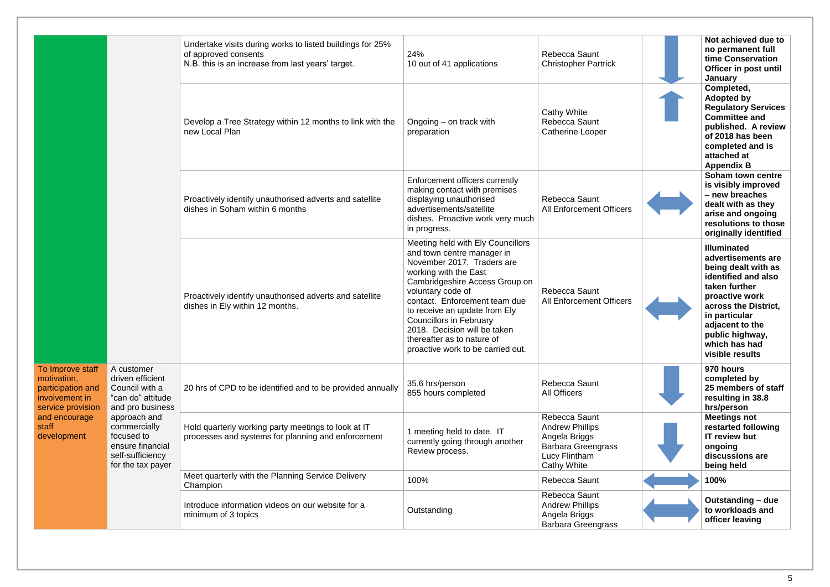|                                                                                             |                                                                                                         | Undertake visits during works to listed buildings for 25%<br>of approved consents<br>N.B. this is an increase from last years' target. | 24%<br>10 out of 41 applications                                                                                                                                                                                                                                                                                                                                                     | Rebecca Saunt<br><b>Christopher Partrick</b>                                                                                 |  |
|---------------------------------------------------------------------------------------------|---------------------------------------------------------------------------------------------------------|----------------------------------------------------------------------------------------------------------------------------------------|--------------------------------------------------------------------------------------------------------------------------------------------------------------------------------------------------------------------------------------------------------------------------------------------------------------------------------------------------------------------------------------|------------------------------------------------------------------------------------------------------------------------------|--|
|                                                                                             |                                                                                                         | Develop a Tree Strategy within 12 months to link with the<br>new Local Plan                                                            | Ongoing $-$ on track with<br>preparation                                                                                                                                                                                                                                                                                                                                             | <b>Cathy White</b><br>Rebecca Saunt<br><b>Catherine Looper</b>                                                               |  |
|                                                                                             |                                                                                                         | Proactively identify unauthorised adverts and satellite<br>dishes in Soham within 6 months                                             | Enforcement officers currently<br>making contact with premises<br>displaying unauthorised<br>advertisements/satellite<br>dishes. Proactive work very much<br>in progress.                                                                                                                                                                                                            | Rebecca Saunt<br><b>All Enforcement Officers</b>                                                                             |  |
|                                                                                             |                                                                                                         | Proactively identify unauthorised adverts and satellite<br>dishes in Ely within 12 months.                                             | Meeting held with Ely Councillors<br>and town centre manager in<br>November 2017. Traders are<br>working with the East<br>Cambridgeshire Access Group on<br>voluntary code of<br>contact. Enforcement team due<br>to receive an update from Ely<br><b>Councillors in February</b><br>2018. Decision will be taken<br>thereafter as to nature of<br>proactive work to be carried out. | Rebecca Saunt<br><b>All Enforcement Officers</b>                                                                             |  |
| To Improve staff<br>motivation,<br>participation and<br>involvement in<br>service provision | A customer<br>driven efficient<br>Council with a<br>"can do" attitude<br>and pro business               | 20 hrs of CPD to be identified and to be provided annually                                                                             | 35.6 hrs/person<br>855 hours completed                                                                                                                                                                                                                                                                                                                                               | Rebecca Saunt<br><b>All Officers</b>                                                                                         |  |
| and encourage<br>staff<br>development                                                       | approach and<br>commercially<br>focused to<br>ensure financial<br>self-sufficiency<br>for the tax payer | Hold quarterly working party meetings to look at IT<br>processes and systems for planning and enforcement                              | 1 meeting held to date. IT<br>currently going through another<br>Review process.                                                                                                                                                                                                                                                                                                     | Rebecca Saunt<br><b>Andrew Phillips</b><br>Angela Briggs<br><b>Barbara Greengrass</b><br>Lucy Flintham<br><b>Cathy White</b> |  |
|                                                                                             |                                                                                                         | Meet quarterly with the Planning Service Delivery<br>Champion                                                                          | 100%                                                                                                                                                                                                                                                                                                                                                                                 | Rebecca Saunt                                                                                                                |  |
|                                                                                             |                                                                                                         | Introduce information videos on our website for a<br>minimum of 3 topics                                                               | Outstanding                                                                                                                                                                                                                                                                                                                                                                          | Rebecca Saunt<br><b>Andrew Phillips</b><br>Angela Briggs<br><b>Barbara Greengrass</b>                                        |  |